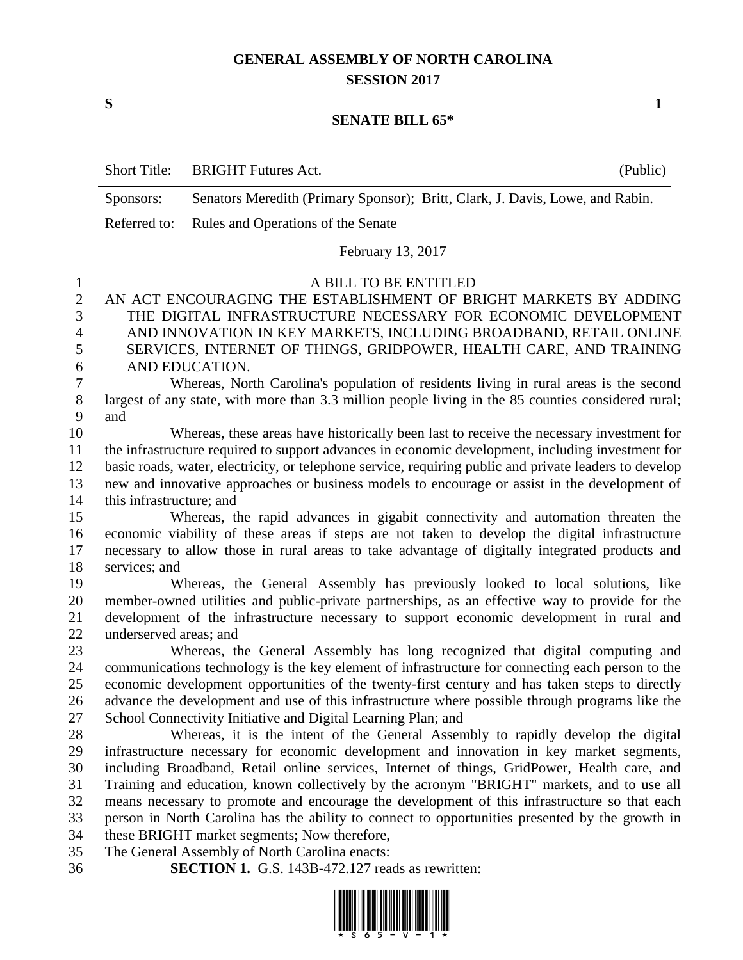## **GENERAL ASSEMBLY OF NORTH CAROLINA SESSION 2017**

**S 1**

## **SENATE BILL 65\***

|                | <b>Short Title:</b>                                                                                 | <b>BRIGHT</b> Futures Act.                                                                                                                                                                         | (Public) |  |
|----------------|-----------------------------------------------------------------------------------------------------|----------------------------------------------------------------------------------------------------------------------------------------------------------------------------------------------------|----------|--|
|                | Sponsors:                                                                                           | Senators Meredith (Primary Sponsor); Britt, Clark, J. Davis, Lowe, and Rabin.                                                                                                                      |          |  |
|                | Referred to:                                                                                        | Rules and Operations of the Senate                                                                                                                                                                 |          |  |
|                |                                                                                                     | February 13, 2017                                                                                                                                                                                  |          |  |
| $\mathbf 1$    |                                                                                                     | A BILL TO BE ENTITLED                                                                                                                                                                              |          |  |
| $\overline{c}$ |                                                                                                     | AN ACT ENCOURAGING THE ESTABLISHMENT OF BRIGHT MARKETS BY ADDING                                                                                                                                   |          |  |
| 3              |                                                                                                     | THE DIGITAL INFRASTRUCTURE NECESSARY FOR ECONOMIC DEVELOPMENT                                                                                                                                      |          |  |
| $\overline{4}$ |                                                                                                     | AND INNOVATION IN KEY MARKETS, INCLUDING BROADBAND, RETAIL ONLINE                                                                                                                                  |          |  |
| 5              |                                                                                                     | SERVICES, INTERNET OF THINGS, GRIDPOWER, HEALTH CARE, AND TRAINING                                                                                                                                 |          |  |
| 6              | AND EDUCATION.                                                                                      |                                                                                                                                                                                                    |          |  |
| 7              | Whereas, North Carolina's population of residents living in rural areas is the second               |                                                                                                                                                                                                    |          |  |
| 8<br>9         | largest of any state, with more than 3.3 million people living in the 85 counties considered rural; |                                                                                                                                                                                                    |          |  |
| 10             | and                                                                                                 | Whereas, these areas have historically been last to receive the necessary investment for                                                                                                           |          |  |
| 11             |                                                                                                     | the infrastructure required to support advances in economic development, including investment for                                                                                                  |          |  |
| 12             |                                                                                                     | basic roads, water, electricity, or telephone service, requiring public and private leaders to develop                                                                                             |          |  |
| 13             | new and innovative approaches or business models to encourage or assist in the development of       |                                                                                                                                                                                                    |          |  |
| 14             | this infrastructure; and                                                                            |                                                                                                                                                                                                    |          |  |
| 15             |                                                                                                     | Whereas, the rapid advances in gigabit connectivity and automation threaten the                                                                                                                    |          |  |
| 16             |                                                                                                     | economic viability of these areas if steps are not taken to develop the digital infrastructure                                                                                                     |          |  |
| 17             |                                                                                                     | necessary to allow those in rural areas to take advantage of digitally integrated products and                                                                                                     |          |  |
| 18             | services; and                                                                                       |                                                                                                                                                                                                    |          |  |
| 19             |                                                                                                     | Whereas, the General Assembly has previously looked to local solutions, like                                                                                                                       |          |  |
| 20             | member-owned utilities and public-private partnerships, as an effective way to provide for the      |                                                                                                                                                                                                    |          |  |
| 21             | development of the infrastructure necessary to support economic development in rural and            |                                                                                                                                                                                                    |          |  |
| 22             | underserved areas; and                                                                              |                                                                                                                                                                                                    |          |  |
| 23             |                                                                                                     | Whereas, the General Assembly has long recognized that digital computing and                                                                                                                       |          |  |
| 24<br>25       |                                                                                                     | communications technology is the key element of infrastructure for connecting each person to the<br>economic development opportunities of the twenty-first century and has taken steps to directly |          |  |
| 26             |                                                                                                     | advance the development and use of this infrastructure where possible through programs like the                                                                                                    |          |  |
| 27             |                                                                                                     | School Connectivity Initiative and Digital Learning Plan; and                                                                                                                                      |          |  |
| 28             |                                                                                                     | Whereas, it is the intent of the General Assembly to rapidly develop the digital                                                                                                                   |          |  |
| 29             |                                                                                                     | infrastructure necessary for economic development and innovation in key market segments,                                                                                                           |          |  |
| 30             |                                                                                                     | including Broadband, Retail online services, Internet of things, GridPower, Health care, and                                                                                                       |          |  |
| 31             |                                                                                                     | Training and education, known collectively by the acronym "BRIGHT" markets, and to use all                                                                                                         |          |  |
| 32             |                                                                                                     | means necessary to promote and encourage the development of this infrastructure so that each                                                                                                       |          |  |
| 33             |                                                                                                     | person in North Carolina has the ability to connect to opportunities presented by the growth in                                                                                                    |          |  |
| 34             |                                                                                                     | these BRIGHT market segments; Now therefore,                                                                                                                                                       |          |  |
| 35             |                                                                                                     | The General Assembly of North Carolina enacts:                                                                                                                                                     |          |  |
| 36             |                                                                                                     | <b>SECTION 1.</b> G.S. 143B-472.127 reads as rewritten:                                                                                                                                            |          |  |

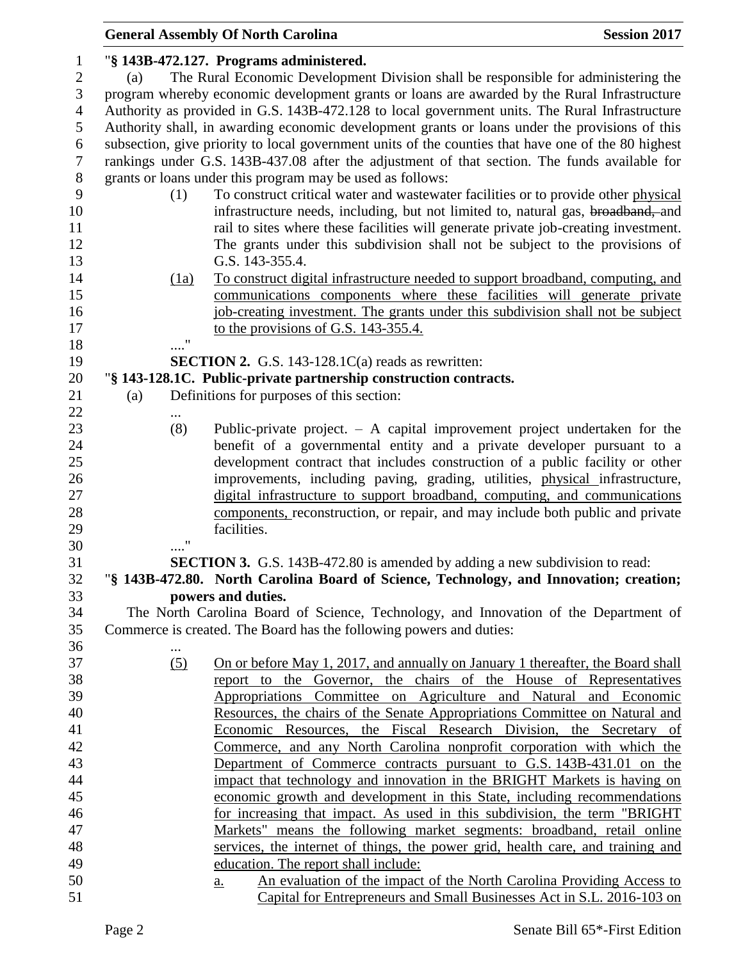|                |                   | <b>General Assembly Of North Carolina</b>                                                           | <b>Session 2017</b> |  |  |  |
|----------------|-------------------|-----------------------------------------------------------------------------------------------------|---------------------|--|--|--|
| 1              |                   | "§ 143B-472.127. Programs administered.                                                             |                     |  |  |  |
| $\mathbf{2}$   | (a)               | The Rural Economic Development Division shall be responsible for administering the                  |                     |  |  |  |
| 3              |                   | program whereby economic development grants or loans are awarded by the Rural Infrastructure        |                     |  |  |  |
| $\overline{4}$ |                   | Authority as provided in G.S. 143B-472.128 to local government units. The Rural Infrastructure      |                     |  |  |  |
| 5              |                   | Authority shall, in awarding economic development grants or loans under the provisions of this      |                     |  |  |  |
| 6              |                   | subsection, give priority to local government units of the counties that have one of the 80 highest |                     |  |  |  |
| $\overline{7}$ |                   | rankings under G.S. 143B-437.08 after the adjustment of that section. The funds available for       |                     |  |  |  |
|                |                   |                                                                                                     |                     |  |  |  |
| $8\,$          |                   | grants or loans under this program may be used as follows:                                          |                     |  |  |  |
| 9              | (1)               | To construct critical water and wastewater facilities or to provide other physical                  |                     |  |  |  |
| 10             |                   | infrastructure needs, including, but not limited to, natural gas, broadband, and                    |                     |  |  |  |
| 11             |                   | rail to sites where these facilities will generate private job-creating investment.                 |                     |  |  |  |
| 12             |                   | The grants under this subdivision shall not be subject to the provisions of                         |                     |  |  |  |
| 13             |                   | G.S. 143-355.4.                                                                                     |                     |  |  |  |
| 14             | (1a)              | To construct digital infrastructure needed to support broadband, computing, and                     |                     |  |  |  |
| 15             |                   | communications components where these facilities will generate private                              |                     |  |  |  |
| 16             |                   | job-creating investment. The grants under this subdivision shall not be subject                     |                     |  |  |  |
| 17             |                   | to the provisions of G.S. 143-355.4.                                                                |                     |  |  |  |
| 18             |                   |                                                                                                     |                     |  |  |  |
| 19             |                   | <b>SECTION 2.</b> G.S. 143-128.1 $C(a)$ reads as rewritten:                                         |                     |  |  |  |
| 20             |                   | "§ 143-128.1C. Public-private partnership construction contracts.                                   |                     |  |  |  |
| 21             | (a)               | Definitions for purposes of this section:                                                           |                     |  |  |  |
| 22             |                   |                                                                                                     |                     |  |  |  |
| 23             | (8)               | Public-private project. $-$ A capital improvement project undertaken for the                        |                     |  |  |  |
| 24             |                   | benefit of a governmental entity and a private developer pursuant to a                              |                     |  |  |  |
| 25             |                   | development contract that includes construction of a public facility or other                       |                     |  |  |  |
| 26             |                   | improvements, including paving, grading, utilities, physical infrastructure,                        |                     |  |  |  |
| 27             |                   | digital infrastructure to support broadband, computing, and communications                          |                     |  |  |  |
| 28             |                   | components, reconstruction, or repair, and may include both public and private                      |                     |  |  |  |
| 29             |                   | facilities.                                                                                         |                     |  |  |  |
| 30             | $^{\prime\prime}$ |                                                                                                     |                     |  |  |  |
| 31             |                   | <b>SECTION 3.</b> G.S. 143B-472.80 is amended by adding a new subdivision to read:                  |                     |  |  |  |
| 32             |                   | "§ 143B-472.80. North Carolina Board of Science, Technology, and Innovation; creation;              |                     |  |  |  |
| 33             |                   | powers and duties.                                                                                  |                     |  |  |  |
| 34             |                   | The North Carolina Board of Science, Technology, and Innovation of the Department of                |                     |  |  |  |
| 35             |                   | Commerce is created. The Board has the following powers and duties:                                 |                     |  |  |  |
| 36             |                   |                                                                                                     |                     |  |  |  |
| 37             | (5)               | <u>On or before May 1, 2017, and annually on January 1 thereafter, the Board shall</u>              |                     |  |  |  |
| 38             |                   | report to the Governor, the chairs of the House of Representatives                                  |                     |  |  |  |
| 39             |                   | Appropriations Committee on Agriculture and Natural and Economic                                    |                     |  |  |  |
| 40             |                   | Resources, the chairs of the Senate Appropriations Committee on Natural and                         |                     |  |  |  |
| 41             |                   | Economic Resources, the Fiscal Research Division, the Secretary of                                  |                     |  |  |  |
| 42             |                   | Commerce, and any North Carolina nonprofit corporation with which the                               |                     |  |  |  |
| 43             |                   | Department of Commerce contracts pursuant to G.S. 143B-431.01 on the                                |                     |  |  |  |
| 44             |                   | impact that technology and innovation in the BRIGHT Markets is having on                            |                     |  |  |  |
| 45             |                   | economic growth and development in this State, including recommendations                            |                     |  |  |  |
| 46             |                   | for increasing that impact. As used in this subdivision, the term "BRIGHT"                          |                     |  |  |  |
| 47             |                   | Markets" means the following market segments: broadband, retail online                              |                     |  |  |  |
| 48             |                   | services, the internet of things, the power grid, health care, and training and                     |                     |  |  |  |
| 49             |                   | education. The report shall include:                                                                |                     |  |  |  |
| 50             |                   | An evaluation of the impact of the North Carolina Providing Access to<br><u>a.</u>                  |                     |  |  |  |
| 51             |                   | Capital for Entrepreneurs and Small Businesses Act in S.L. 2016-103 on                              |                     |  |  |  |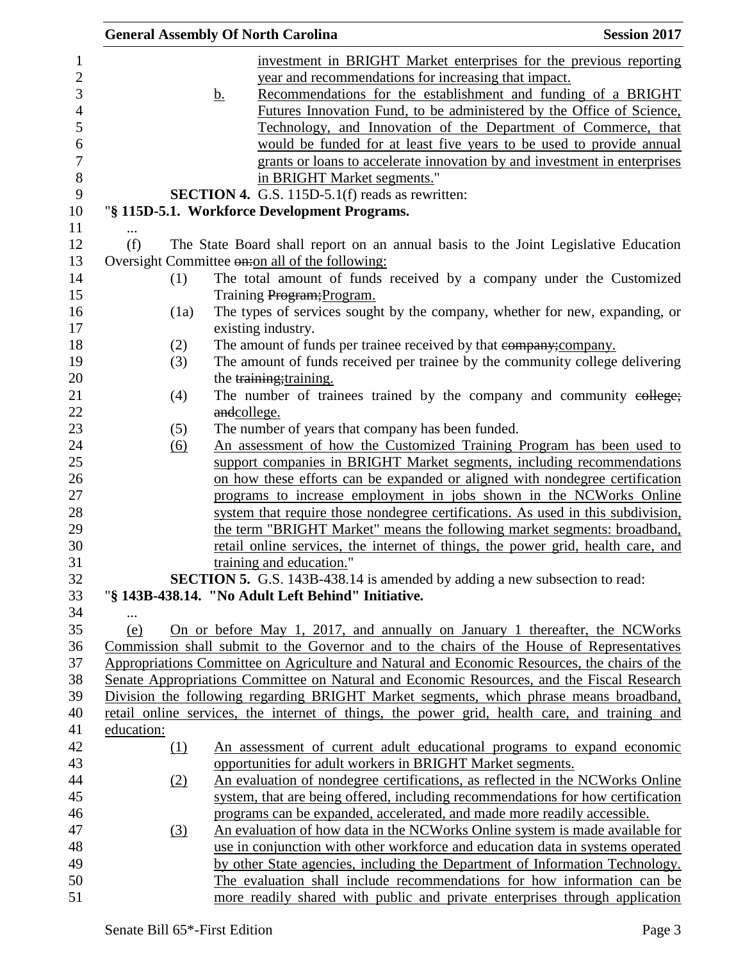|                   | <b>General Assembly Of North Carolina</b>                                                                                                                                                                                                                                                     | <b>Session 2017</b> |
|-------------------|-----------------------------------------------------------------------------------------------------------------------------------------------------------------------------------------------------------------------------------------------------------------------------------------------|---------------------|
|                   | investment in BRIGHT Market enterprises for the previous reporting<br>year and recommendations for increasing that impact.                                                                                                                                                                    |                     |
|                   | Recommendations for the establishment and funding of a BRIGHT<br><u>b.</u><br>Futures Innovation Fund, to be administered by the Office of Science,<br>Technology, and Innovation of the Department of Commerce, that<br>would be funded for at least five years to be used to provide annual |                     |
|                   | grants or loans to accelerate innovation by and investment in enterprises<br>in BRIGHT Market segments."                                                                                                                                                                                      |                     |
|                   | <b>SECTION 4.</b> G.S. 115D-5.1(f) reads as rewritten:                                                                                                                                                                                                                                        |                     |
|                   | "§ 115D-5.1. Workforce Development Programs.                                                                                                                                                                                                                                                  |                     |
|                   |                                                                                                                                                                                                                                                                                               |                     |
| (f)               | The State Board shall report on an annual basis to the Joint Legislative Education                                                                                                                                                                                                            |                     |
|                   | Oversight Committee on: on all of the following:                                                                                                                                                                                                                                              |                     |
| (1)               | The total amount of funds received by a company under the Customized                                                                                                                                                                                                                          |                     |
|                   | Training Program; Program.                                                                                                                                                                                                                                                                    |                     |
| (1a)              | The types of services sought by the company, whether for new, expanding, or                                                                                                                                                                                                                   |                     |
|                   | existing industry.                                                                                                                                                                                                                                                                            |                     |
| (2)               | The amount of funds per trainee received by that eompany; company.                                                                                                                                                                                                                            |                     |
| (3)               | The amount of funds received per trainee by the community college delivering                                                                                                                                                                                                                  |                     |
|                   | the training; training.                                                                                                                                                                                                                                                                       |                     |
| (4)               | The number of trainees trained by the company and community eollege;                                                                                                                                                                                                                          |                     |
|                   | andcollege.                                                                                                                                                                                                                                                                                   |                     |
| (5)               | The number of years that company has been funded.                                                                                                                                                                                                                                             |                     |
| $\underline{(6)}$ | An assessment of how the Customized Training Program has been used to                                                                                                                                                                                                                         |                     |
|                   | support companies in BRIGHT Market segments, including recommendations                                                                                                                                                                                                                        |                     |
|                   | on how these efforts can be expanded or aligned with nondegree certification                                                                                                                                                                                                                  |                     |
|                   | programs to increase employment in jobs shown in the NCWorks Online                                                                                                                                                                                                                           |                     |
|                   | system that require those nondegree certifications. As used in this subdivision,                                                                                                                                                                                                              |                     |
|                   | the term "BRIGHT Market" means the following market segments: broadband,                                                                                                                                                                                                                      |                     |
|                   | retail online services, the internet of things, the power grid, health care, and<br>training and education."                                                                                                                                                                                  |                     |
|                   | <b>SECTION 5.</b> G.S. 143B-438.14 is amended by adding a new subsection to read:                                                                                                                                                                                                             |                     |
|                   | "§ 143B-438.14. "No Adult Left Behind" Initiative.                                                                                                                                                                                                                                            |                     |
|                   |                                                                                                                                                                                                                                                                                               |                     |
| (e)               | On or before May 1, 2017, and annually on January 1 thereafter, the NCWorks                                                                                                                                                                                                                   |                     |
|                   | Commission shall submit to the Governor and to the chairs of the House of Representatives                                                                                                                                                                                                     |                     |
|                   | Appropriations Committee on Agriculture and Natural and Economic Resources, the chairs of the                                                                                                                                                                                                 |                     |
|                   | Senate Appropriations Committee on Natural and Economic Resources, and the Fiscal Research                                                                                                                                                                                                    |                     |
|                   | Division the following regarding BRIGHT Market segments, which phrase means broadband,                                                                                                                                                                                                        |                     |
|                   | retail online services, the internet of things, the power grid, health care, and training and                                                                                                                                                                                                 |                     |
| education:        |                                                                                                                                                                                                                                                                                               |                     |
| (1)               | An assessment of current adult educational programs to expand economic                                                                                                                                                                                                                        |                     |
|                   | opportunities for adult workers in BRIGHT Market segments.                                                                                                                                                                                                                                    |                     |
| (2)               | An evaluation of nondegree certifications, as reflected in the NCWorks Online                                                                                                                                                                                                                 |                     |
|                   | system, that are being offered, including recommendations for how certification                                                                                                                                                                                                               |                     |
|                   | programs can be expanded, accelerated, and made more readily accessible.                                                                                                                                                                                                                      |                     |
| $\left(3\right)$  | An evaluation of how data in the NCWorks Online system is made available for                                                                                                                                                                                                                  |                     |
|                   | use in conjunction with other workforce and education data in systems operated                                                                                                                                                                                                                |                     |
|                   | by other State agencies, including the Department of Information Technology.                                                                                                                                                                                                                  |                     |
|                   | The evaluation shall include recommendations for how information can be                                                                                                                                                                                                                       |                     |
|                   | more readily shared with public and private enterprises through application                                                                                                                                                                                                                   |                     |
|                   |                                                                                                                                                                                                                                                                                               |                     |